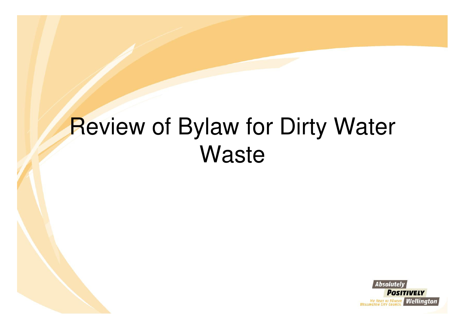### Review of Bylaw for Dirty Water **Waste**

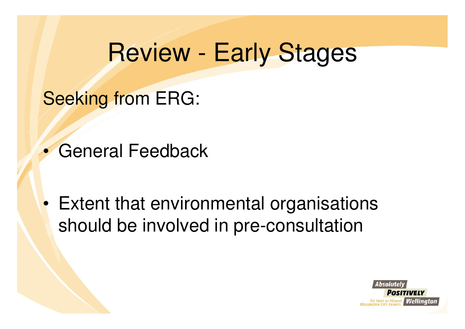#### Review - Early Stages

Seeking from ERG:

 $\bullet$ General Feedback

• Extent that environmental organisations should be involved in pre-consultation

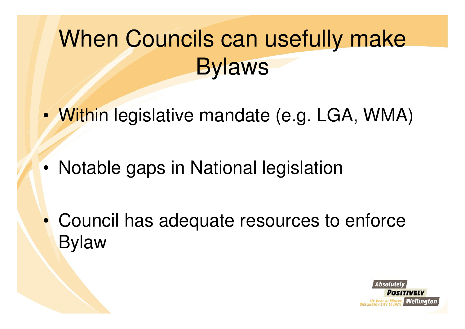## When Councils can usefully make Bylaws

- •Within legislative mandate (e.g. LGA, WMA)
- •Notable gaps in National legislation
- $\bullet$  Council has adequate resources to enforce Bylaw

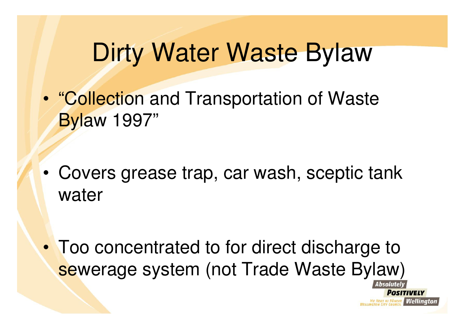### Dirty Water Waste Bylaw

- • "Collection and Transportation of Waste Bylaw 1997"
- • Covers grease trap, car wash, sceptic tank water
- • Too concentrated to for direct discharge to sewerage system (not Trade Waste Bylaw)

**PONEKE Nellinator**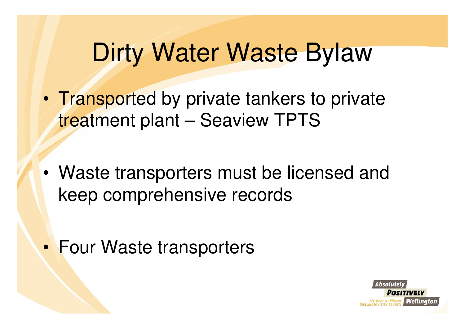### Dirty Water Waste Bylaw

- • Transported by private tankers to private treatment plant – Seaview TPTS
- • Waste transporters must be licensed and keep comprehensive records
- •Four Waste transporters

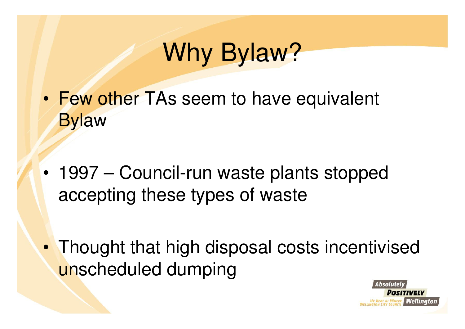# Why Bylaw?

- •Few other TAs seem to have equivalent **Bylaw**
- • 1997 – Council-run waste plants stopped accepting these types of waste
- • Thought that high disposal costs incentivised unscheduled dumping

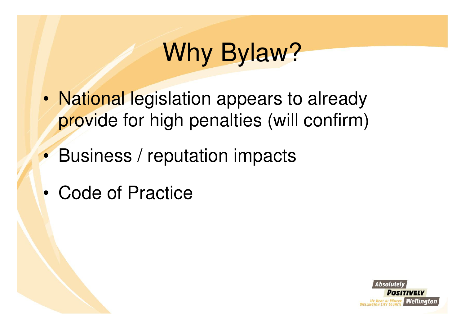# Why Bylaw?

- • National legislation appears to already provide for high penalties (will confirm)
- $\bullet$ Business / reputation impacts
- •Code of Practice

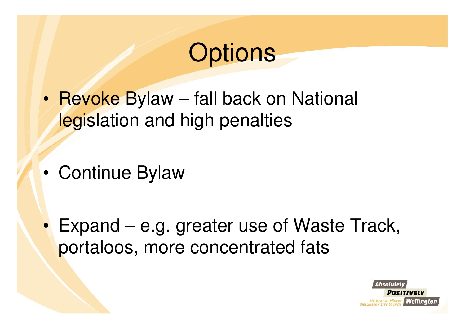### **Options**

- • Revoke Bylaw – fall back on National legislation and high penalties
- •Continue Bylaw
- $\bullet$  Expand – e.g. greater use of Waste Track, portaloos, more concentrated fats